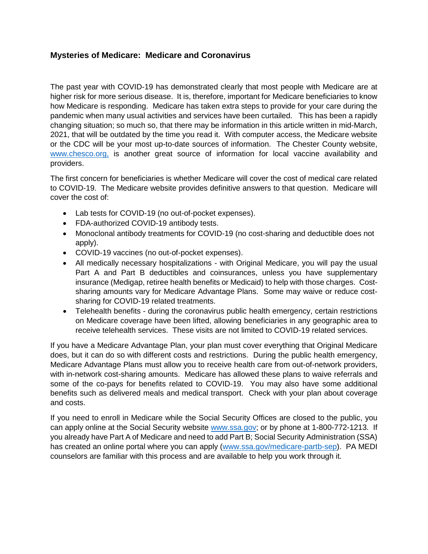## **Mysteries of Medicare: Medicare and Coronavirus**

The past year with COVID-19 has demonstrated clearly that most people with Medicare are at higher risk for more serious disease. It is, therefore, important for Medicare beneficiaries to know how Medicare is responding. Medicare has taken extra steps to provide for your care during the pandemic when many usual activities and services have been curtailed. This has been a rapidly changing situation; so much so, that there may be information in this article written in mid-March, 2021, that will be outdated by the time you read it. With computer access, the Medicare website or the CDC will be your most up-to-date sources of information. The Chester County website, [www.chesco.org,](http://www.chesco.org/) is another great source of information for local vaccine availability and providers.

The first concern for beneficiaries is whether Medicare will cover the cost of medical care related to COVID-19. The Medicare website provides definitive answers to that question. Medicare will cover the cost of:

- Lab tests for COVID-19 (no out-of-pocket expenses).
- FDA-authorized COVID-19 antibody tests.
- Monoclonal antibody treatments for COVID-19 (no cost-sharing and deductible does not apply).
- COVID-19 vaccines (no out-of-pocket expenses).
- All medically necessary hospitalizations with Original Medicare, you will pay the usual Part A and Part B deductibles and coinsurances, unless you have supplementary insurance (Medigap, retiree health benefits or Medicaid) to help with those charges. Costsharing amounts vary for Medicare Advantage Plans. Some may waive or reduce costsharing for COVID-19 related treatments.
- Telehealth benefits during the coronavirus public health emergency, certain restrictions on Medicare coverage have been lifted, allowing beneficiaries in any geographic area to receive telehealth services. These visits are not limited to COVID-19 related services.

If you have a Medicare Advantage Plan, your plan must cover everything that Original Medicare does, but it can do so with different costs and restrictions. During the public health emergency, Medicare Advantage Plans must allow you to receive health care from out-of-network providers, with in-network cost-sharing amounts. Medicare has allowed these plans to waive referrals and some of the co-pays for benefits related to COVID-19. You may also have some additional benefits such as delivered meals and medical transport. Check with your plan about coverage and costs.

If you need to enroll in Medicare while the Social Security Offices are closed to the public, you can apply online at the Social Security website [www.ssa.gov;](http://www.ssa.gov/) or by phone at 1-800-772-1213. If you already have Part A of Medicare and need to add Part B; Social Security Administration (SSA) has created an online portal where you can apply [\(www.ssa.gov/medicare-partb-sep\)](http://www.ssa.gov/medicare-partb-sep). PA MEDI counselors are familiar with this process and are available to help you work through it.